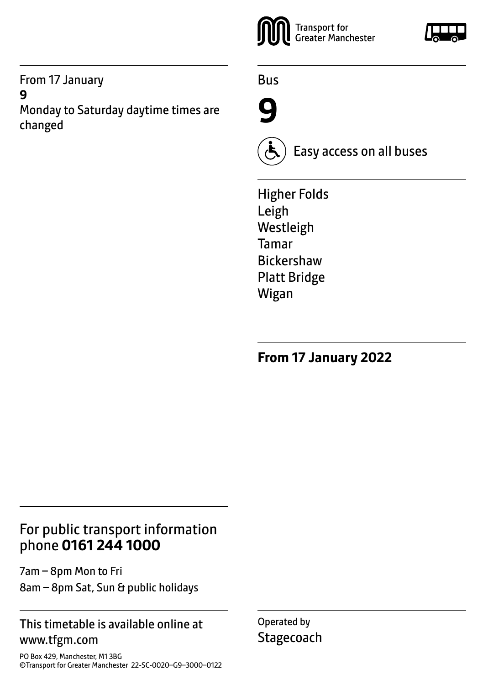From 17 January **9**

Monday to Saturday daytime times are changed



Bus





Easy access on all buses

Higher Folds Leigh Westleigh Tamar Bickershaw Platt Bridge Wigan

**From 17 January 2022**

## For public transport information phone **0161 244 1000**

7am – 8pm Mon to Fri 8am – 8pm Sat, Sun & public holidays

#### This timetable is available online at www.tfgm.com

PO Box 429, Manchester, M1 3BG ©Transport for Greater Manchester 22-SC-0020–G9–3000–0122 Operated by **Stagecoach**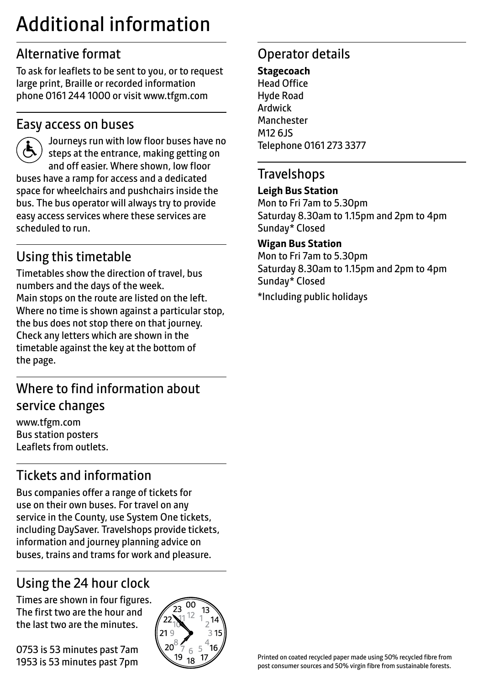# Additional information

# Alternative format

To ask for leaflets to be sent to you, or to request large print, Braille or recorded information phone 0161 244 1000 or visit www.tfgm.com

## Easy access on buses



 Journeys run with low floor buses have no steps at the entrance, making getting on and off easier. Where shown, low floor buses have a ramp for access and a dedicated space for wheelchairs and pushchairs inside the bus. The bus operator will always try to provide easy access services where these services are scheduled to run.

# Using this timetable

Timetables show the direction of travel, bus numbers and the days of the week. Main stops on the route are listed on the left. Where no time is shown against a particular stop, the bus does not stop there on that journey. Check any letters which are shown in the timetable against the key at the bottom of the page.

# Where to find information about service changes

www.tfgm.com Bus station posters Leaflets from outlets.

# Tickets and information

Bus companies offer a range of tickets for use on their own buses. For travel on any service in the County, use System One tickets, including DaySaver. Travelshops provide tickets, information and journey planning advice on buses, trains and trams for work and pleasure.

# Using the 24 hour clock

Times are shown in four figures. The first two are the hour and the last two are the minutes.

0753 is 53 minutes past 7am 1953 is 53 minutes past 7pm



# Operator details

**Stagecoach** Head Office Hyde Road Ardwick **Manchester** M12 6JS Telephone 0161 273 3377

#### **Travelshops**

#### **Leigh Bus Station**

Mon to Fri 7am to 5.30pm Saturday 8.30am to 1.15pm and 2pm to 4pm Sunday\* Closed

#### **Wigan Bus Station**

Mon to Fri 7am to 5.30pm Saturday 8.30am to 1.15pm and 2pm to 4pm Sunday\* Closed

\*Including public holidays

Printed on coated recycled paper made using 50% recycled fibre from post consumer sources and 50% virgin fibre from sustainable forests.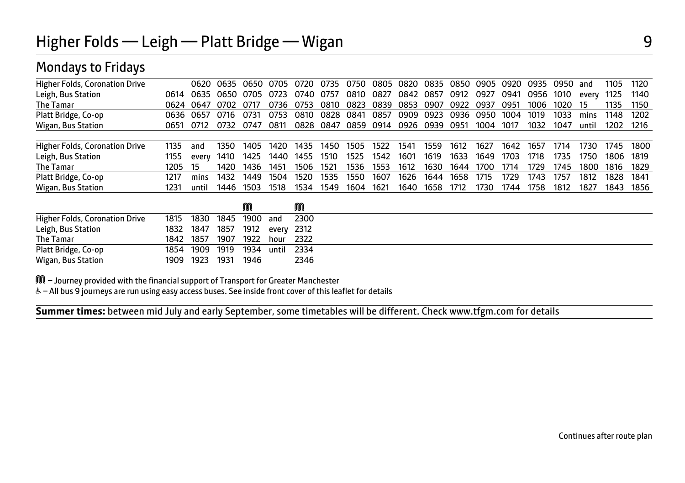## Mondays to Fridays

| <b>Higher Folds, Coronation Drive</b> |      | 0620  | 0635 | 0650 | 0705  | 0720. | 0735 | 0750 | 0805 | 0820      | 0835 | 0850 | 0905 | 0920 | 0935 | 0950 | and   | 1105 | 1120 |
|---------------------------------------|------|-------|------|------|-------|-------|------|------|------|-----------|------|------|------|------|------|------|-------|------|------|
| Leigh, Bus Station                    | 0614 | 0635  | 0650 | 0705 | 0723  | 0740  | 0757 | 0810 | 0827 | 0842 0857 |      | 0912 | 0927 | 0941 | 0956 | 1010 | every | 1125 | 1140 |
| The Tamar                             | 0624 | 0647  | 0702 |      | 0736  | 0753  | 0810 | 0823 | 0839 | 0853      | 0907 | 0922 | 0937 | 0951 | 1006 | 1020 | 15    | 1135 | 1150 |
| Platt Bridge, Co-op                   | 0636 | 0657  | 0716 | 0731 | 0753  | 0810  | 0828 | 0841 | 0857 | 0909      | 0923 | 0936 | 0950 | 1004 | 1019 | 1033 | mins  | 1148 | 1202 |
| Wigan, Bus Station                    | 0651 | 0712  | 0732 | 0747 | 0811  | 0828  | 0847 | 0859 | 0914 | 0926      | 0939 | 0951 | 1004 | 1017 | 1032 | 1047 | until | 1202 | 1216 |
|                                       |      |       |      |      |       |       |      |      |      |           |      |      |      |      |      |      |       |      |      |
| <b>Higher Folds, Coronation Drive</b> | 1135 | and   | 1350 | 1405 | 1420  | 1435  | 1450 | 1505 | 1522 | 1541      | 1559 | 1612 | 1627 | 1642 | 1657 | 1714 | 1730  | 1745 | 1800 |
| Leigh, Bus Station                    | 1155 | every | 1410 | 1425 | 1440  | 1455  | 1510 | 1525 | 1542 | 1601      | 1619 | 1633 | 1649 | 1703 | 1718 | 1735 | 1750  | 1806 | 1819 |
| The Tamar                             | 1205 | 15    | 1420 | 1436 | 1451  | 1506  | 1521 | 1536 | 1553 | 1612      | 1630 | 1644 | 1700 | 1714 | 1729 | 1745 | 1800  | 1816 | 1829 |
| Platt Bridge, Co-op                   | 1217 | mins  | 1432 | 1449 | 1504  | 1520  | 1535 | 1550 | 1607 | 1626      | 1644 | 1658 | 1715 | 1729 | 1743 | 1757 | 1812  | 1828 | 1841 |
| Wigan, Bus Station                    | 1231 | until | 1446 | 1503 | 1518  | 1534  | 1549 | 1604 | 1621 | 1640      | 1658 | 1712 | 1730 | 1744 | 1758 | 1812 | 1827  | 1843 | 1856 |
|                                       |      |       |      |      |       |       |      |      |      |           |      |      |      |      |      |      |       |      |      |
|                                       |      |       |      | M    |       | M     |      |      |      |           |      |      |      |      |      |      |       |      |      |
| Higher Folds, Coronation Drive        | 1815 | 1830  | 1845 | 1900 | and   | 2300  |      |      |      |           |      |      |      |      |      |      |       |      |      |
| Leigh, Bus Station                    | 1832 | 1847  | 1857 | 1912 | every | 2312  |      |      |      |           |      |      |      |      |      |      |       |      |      |
| The Tamar                             | 1842 | 1857  | 1907 | 1922 | hour  | 2322  |      |      |      |           |      |      |      |      |      |      |       |      |      |
| Platt Bridge, Co-op                   | 1854 | 1909  | 1919 | 1934 | until | 2334  |      |      |      |           |      |      |      |      |      |      |       |      |      |
| Wigan, Bus Station                    | 1909 | 1923  | 1931 | 1946 |       | 2346  |      |      |      |           |      |      |      |      |      |      |       |      |      |

M – Journey provided with the financial support of Transport for Greater Manchester

W– All bus 9 journeys are run using easy access buses. See inside front cover of this leaflet for details

 $\overline{a}$ **Summer times:** between mid July and early September, some timetables will be different. Check www.tfgm.com for details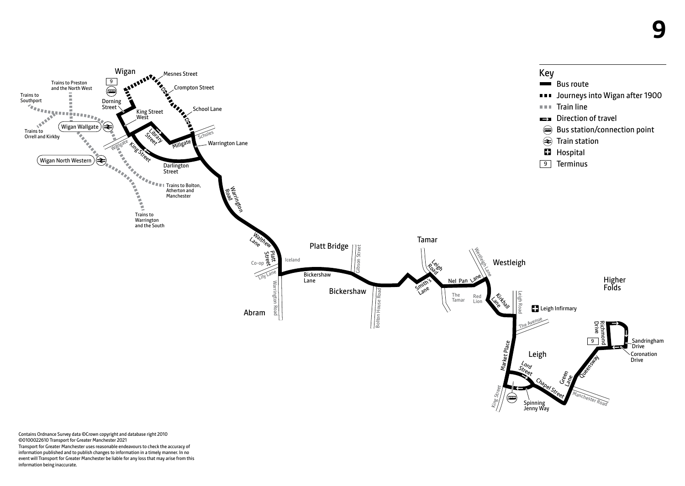

Contains Ordnance Survey data ©Crown copyright and database right 2010 ©0100022610 Transport for Greater Manchester 2021 Transport for Greater Manchester uses reasonable endeavours to check the accuracy of information published and to publish changes to information in a timely manner. In no event will Transport for Greater Manchester be liable for any loss that may arise from this information being inaccurate.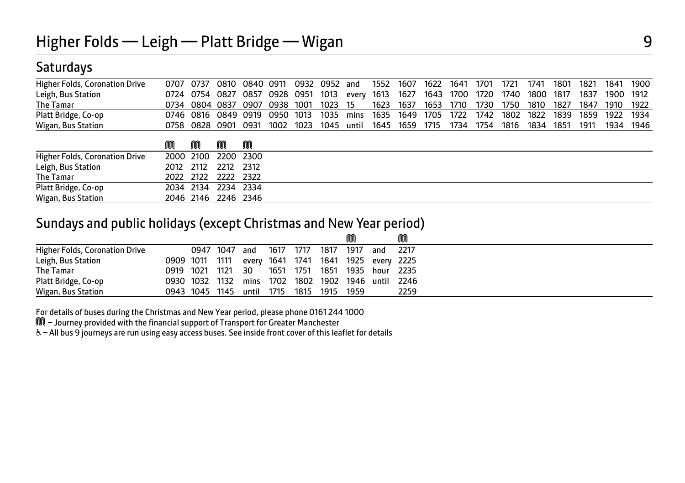## **Saturdays**

| Higher Folds, Coronation Drive | 0707 0737 0810 0840 0911 0932 0952 and 1552 1607 1622 1641 1701 1721 1741 1801 1821 1841 1900   |  |  |  |  |  |  |  |  |  |
|--------------------------------|-------------------------------------------------------------------------------------------------|--|--|--|--|--|--|--|--|--|
| Leigh, Bus Station             | 0724 0754 0827 0857 0928 0951 1013 every 1613 1627 1643 1700 1720 1740 1800 1817 1837 1900 1912 |  |  |  |  |  |  |  |  |  |
| The Tamar                      | 0734 0804 0837 0907 0938 1001 1023 15 1623 1637 1653 1710 1730 1750 1810 1827 1847 1910 1922    |  |  |  |  |  |  |  |  |  |
| Platt Bridge, Co-op            | 0746 0816 0849 0919 0950 1013 1035 mins 1635 1649 1705 1722 1742 1802 1822 1839 1859 1922 1934  |  |  |  |  |  |  |  |  |  |
| Wigan, Bus Station             | 0758 0828 0901 0931 1002 1023 1045 until 1645 1659 1715 1734 1754 1816 1834 1851 1911 1934 1946 |  |  |  |  |  |  |  |  |  |
|                                |                                                                                                 |  |  |  |  |  |  |  |  |  |

|                                | M | M | M                   | M                   |
|--------------------------------|---|---|---------------------|---------------------|
| Higher Folds, Coronation Drive |   |   |                     | 2000 2100 2200 2300 |
| Leigh, Bus Station             |   |   | 2012 2112 2212 2312 |                     |
| The Tamar                      |   |   | 2022 2122 2222 2322 |                     |
| Platt Bridge, Co-op            |   |   | 2034 2134 2234 2334 |                     |
| Wigan, Bus Station             |   |   | 2046 2146 2246 2346 |                     |

#### Sundays and public holidays (except Christmas and New Year period)

|                                |                |                |      |       |           |      |      | M    |     | M                                    |
|--------------------------------|----------------|----------------|------|-------|-----------|------|------|------|-----|--------------------------------------|
| Higher Folds, Coronation Drive |                | 0947 1047      |      | and   | 1617      | 1717 | 1817 | 1917 | and | 2217                                 |
| Leigh, Bus Station             |                | 0909 1011 1111 |      |       |           |      |      |      |     | every 1641 1741 1841 1925 every 2225 |
| The Tamar                      | 0919 1021      |                | 1121 | 30    | 1651 1751 |      | 1851 |      |     | 1935 hour 2235                       |
| Platt Bridge, Co-op            | 0930 1032 1132 |                |      |       |           |      |      |      |     | mins 1702 1802 1902 1946 until 2246  |
| Wigan, Bus Station             | 0943 1045 1145 |                |      | until | 1715 1815 |      | 1915 | 1959 |     | 2259                                 |

For details of buses during the Christmas and New Year period, please phone 0161 244 1000

M – Journey provided with the financial support of Transport for Greater Manchester

& - All bus 9 journeys are run using easy access buses. See inside front cover of this leaflet for details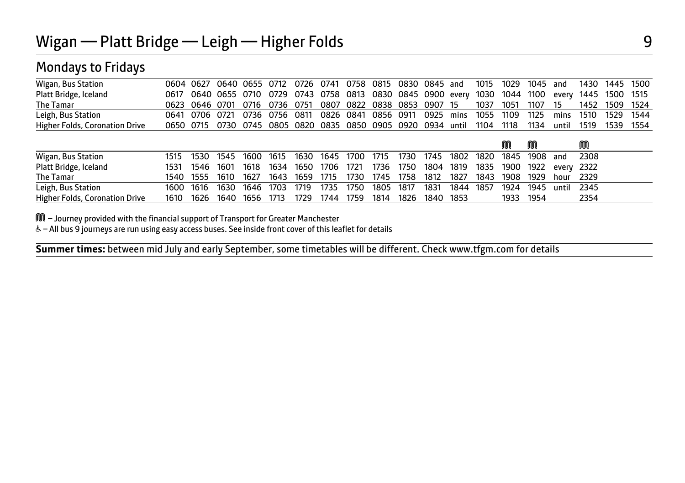## Mondays to Fridays

| Wigan, Bus Station                    |           |                | 0604 0627 0640 0655 0712 |      |      | 0726      | 0741                | 0758 |           |      | 0815 0830 0845 and   |       | 1015 | 1029 | 1045 | and   | 1430 | 1445 | - 1500 |
|---------------------------------------|-----------|----------------|--------------------------|------|------|-----------|---------------------|------|-----------|------|----------------------|-------|------|------|------|-------|------|------|--------|
| Platt Bridge, Iceland                 | 0617      |                | 0640 0655 0710           |      |      |           | 0729 0743 0758 0813 |      |           |      | 0830 0845 0900 every |       | 1030 | 1044 | 1100 | every | 1445 | 1500 | 1515   |
| The Tamar                             |           | 0623 0646 0701 |                          | 0716 | 0736 | 0751      | 0807                | 0822 |           |      | 0838 0853 0907 15    |       | 1037 | 1051 | 1107 | 15    | 1452 | 1509 | 1524   |
| Leigh, Bus Station                    | 0641      | 0706 0721      |                          | 0736 | 0756 | 0811      | 0826                | 0841 | 0856 0911 |      | 0925                 | mins  | 1055 | 1109 | 1125 | mins  | 1510 | 1529 | 1544   |
| <b>Higher Folds, Coronation Drive</b> | 0650 0715 |                | 0730 0745                |      |      | 0805 0820 | 0835                |      |           |      | 0850 0905 0920 0934  | until | 1104 | 1118 | 1134 | until | 1519 | 1539 | 1554   |
|                                       |           |                |                          |      |      |           |                     |      |           |      |                      |       |      |      |      |       |      |      |        |
|                                       |           |                |                          |      |      |           |                     |      |           |      |                      |       |      |      | M    |       | M    |      |        |
| Wigan, Bus Station                    |           |                |                          |      |      |           |                     |      |           |      |                      |       |      |      |      |       |      |      |        |
|                                       | 1515      | 1530           | 1545                     | 1600 | 1615 | 1630      | 1645                | 1700 | 1715      | 1730 | 1745                 | 1802  | 1820 | 1845 | 1908 | and   | 2308 |      |        |
| Platt Bridge, Iceland                 | 1531      | 1546           | 1601                     | 1618 | 1634 | 1650      | 1706                | 1721 | 1736      | 1750 | 1804                 | 1819  | 1835 | 1900 | 1922 | every | 2322 |      |        |
| The Tamar                             | 1540      | 1555           | 1610                     | 1627 | 1643 | 1659      | 1715                | 1730 | 1745      | 1758 | 1812                 | 1827  | 1843 | 1908 | 1929 | hour  | 2329 |      |        |
| Leigh, Bus Station                    | 1600      | 1616           | 1630                     | 1646 | 1703 | 1719      | 1735                | 1750 | 1805      | 1817 | 1831                 | 1844  | 1857 | 1924 | 1945 | until | 2345 |      |        |

M – Journey provided with the financial support of Transport for Greater Manchester

W– All bus 9 journeys are run using easy access buses. See inside front cover of this leaflet for details

 $\overline{a}$ **Summer times:** between mid July and early September, some timetables will be different. Check www.tfgm.com for details